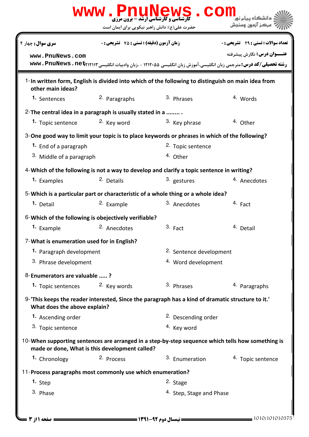| WWW.BnuNews<br>com                                                                                                                                  |                                                                                  |                                     |                                                                                                                       |  |  |  |
|-----------------------------------------------------------------------------------------------------------------------------------------------------|----------------------------------------------------------------------------------|-------------------------------------|-----------------------------------------------------------------------------------------------------------------------|--|--|--|
|                                                                                                                                                     | حضرت علی(ع): دانش راهبر نیکویی برای ایمان است                                    |                                     | مركز آزمون وسنجش                                                                                                      |  |  |  |
| <b>سری سوال :</b> چهار ۴                                                                                                                            | زمان آزمون (دقیقه) : تستی : 75 ٪ تشریحی : 0                                      |                                     | تعداد سوالات : تستي : 29 - تشريحي : 0                                                                                 |  |  |  |
| www.PnuNews.com                                                                                                                                     |                                                                                  |                                     | <b>عنـــوان درس:</b> نگارش پیشرفته                                                                                    |  |  |  |
|                                                                                                                                                     |                                                                                  |                                     | <b>رشته تحصیلی/کد درس:</b> مترجمی زبان انگلیسی،آموزش زبان انگلیسی ۱۲۱۲۰۵۵ - ،زبان وادبیات انگلیسی www . PnuNews . net |  |  |  |
| 1-In written form, English is divided into which of the following to distinguish on main idea from<br>other main ideas?                             |                                                                                  |                                     |                                                                                                                       |  |  |  |
| 1. Sentences                                                                                                                                        | 2. Paragraphs                                                                    | 3. Phrases                          | 4. Words                                                                                                              |  |  |  |
| 2- The central idea in a paragraph is usually stated in a                                                                                           |                                                                                  |                                     |                                                                                                                       |  |  |  |
| 1. Topic sentence                                                                                                                                   | 2. Key word                                                                      | 3. Key phrase                       | 4. Other                                                                                                              |  |  |  |
| 3-One good way to limit your topic is to place keywords or phrases in which of the following?                                                       |                                                                                  |                                     |                                                                                                                       |  |  |  |
| 1. End of a paragraph                                                                                                                               |                                                                                  | <sup>2.</sup> Topic sentence        |                                                                                                                       |  |  |  |
| 3. Middle of a paragraph                                                                                                                            |                                                                                  | 4. Other                            |                                                                                                                       |  |  |  |
| 4-Which of the following is not a way to develop and clarify a topic sentence in writing?                                                           |                                                                                  |                                     |                                                                                                                       |  |  |  |
| 1. Examples                                                                                                                                         | 2. Details                                                                       | 3. gestures                         | 4. Anecdotes                                                                                                          |  |  |  |
|                                                                                                                                                     | 5-Which is a particular part or characteristic of a whole thing or a whole idea? |                                     |                                                                                                                       |  |  |  |
| 1. Detail                                                                                                                                           | <sup>2.</sup> Example                                                            | <sup>3.</sup> Anecdotes             | 4. Fact                                                                                                               |  |  |  |
| 6-Which of the following is obejectively verifiable?                                                                                                |                                                                                  |                                     |                                                                                                                       |  |  |  |
| 1. Example                                                                                                                                          | <sup>2.</sup> Anecdotes                                                          | 3. Fact                             | 4. Detail                                                                                                             |  |  |  |
| 7-What is enumeration used for in English?                                                                                                          |                                                                                  |                                     |                                                                                                                       |  |  |  |
| 1. Paragraph development                                                                                                                            |                                                                                  |                                     | 2. Sentence development                                                                                               |  |  |  |
| 3. Phrase development                                                                                                                               |                                                                                  |                                     | 4. Word development                                                                                                   |  |  |  |
| 8-Enumerators are valuable ?                                                                                                                        |                                                                                  |                                     |                                                                                                                       |  |  |  |
| 1. Topic sentences                                                                                                                                  | 2. Key words                                                                     | 3. Phrases                          | 4. Paragraphs                                                                                                         |  |  |  |
| 9-'This keeps the reader interested, Since the paragraph has a kind of dramatic structure to it.'<br>What does the above explain?                   |                                                                                  |                                     |                                                                                                                       |  |  |  |
| 1. Ascending order                                                                                                                                  |                                                                                  | <sup>2.</sup> Descending order      |                                                                                                                       |  |  |  |
| 3. Topic sentence                                                                                                                                   |                                                                                  | 4. Key word                         |                                                                                                                       |  |  |  |
| 10-When supporting sentences are arranged in a step-by-step sequence which tells how something is<br>made or done, What is this development called? |                                                                                  |                                     |                                                                                                                       |  |  |  |
| 1. Chronology                                                                                                                                       | 2. Process                                                                       | 3. Enumeration                      | 4. Topic sentence                                                                                                     |  |  |  |
| 11-Process paragraphs most commonly use which enumeration?                                                                                          |                                                                                  |                                     |                                                                                                                       |  |  |  |
| 1. Step                                                                                                                                             |                                                                                  | 2. Stage                            |                                                                                                                       |  |  |  |
| 3. Phase                                                                                                                                            |                                                                                  | <sup>4.</sup> Step, Stage and Phase |                                                                                                                       |  |  |  |
|                                                                                                                                                     |                                                                                  |                                     |                                                                                                                       |  |  |  |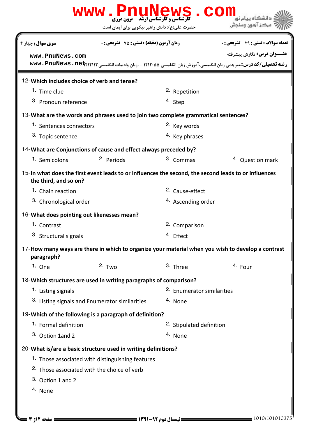|                                             | WWW . PnuNews                                                                                        |                                                    | COM                                                                                                             |
|---------------------------------------------|------------------------------------------------------------------------------------------------------|----------------------------------------------------|-----------------------------------------------------------------------------------------------------------------|
|                                             | حضرت علی(ع): دانش راهبر نیکویی برای ایمان است                                                        |                                                    | مركز آزمون وسنجش                                                                                                |
| سری سوال: چهار ۴                            |                                                                                                      | <b>زمان آزمون (دقیقه) : تستی : 75 ٪ تشریحی : 0</b> |                                                                                                                 |
| www.PnuNews.com                             |                                                                                                      |                                                    | <b>عنـــوان درس:</b> نگارش پیشرفته                                                                              |
|                                             |                                                                                                      |                                                    | رشته تحصیلی/کد درس: مترجمی زبان انگلیسی، آموزش زبان انگلیسی ۱۲۱۲۰۵۵ - ،زبان وادبیات انگلیسی www . PnuNews . net |
| 12-Which includes choice of verb and tense? |                                                                                                      |                                                    |                                                                                                                 |
| 1. Time clue                                |                                                                                                      | <sup>2</sup> Repetition                            |                                                                                                                 |
| 3. Pronoun reference                        |                                                                                                      | 4. Step                                            |                                                                                                                 |
|                                             | 13-What are the words and phrases used to join two complete grammatical sentences?                   |                                                    |                                                                                                                 |
| 1. Sentences connectors                     |                                                                                                      | 2. Key words                                       |                                                                                                                 |
| <sup>3.</sup> Topic sentence                |                                                                                                      | <sup>4.</sup> Key phrases                          |                                                                                                                 |
|                                             | 14-What are Conjunctions of cause and effect always preceded by?                                     |                                                    |                                                                                                                 |
| 1. Semicolons                               | 2. Periods                                                                                           | 3. Commas                                          | 4. Question mark                                                                                                |
| the third, and so on?                       | 15-In what does the first event leads to or influences the second, the second leads to or influences |                                                    |                                                                                                                 |
| 1. Chain reaction                           |                                                                                                      | <sup>2.</sup> Cause-effect                         |                                                                                                                 |
| <sup>3.</sup> Chronological order           |                                                                                                      | <sup>4.</sup> Ascending order                      |                                                                                                                 |
| 16-What does pointing out likenesses mean?  |                                                                                                      |                                                    |                                                                                                                 |
| 1. Contrast                                 |                                                                                                      | 2. Comparison                                      |                                                                                                                 |
| 3. Structural signals                       |                                                                                                      | <sup>4.</sup> Effect                               |                                                                                                                 |
| paragraph?                                  |                                                                                                      |                                                    | 17-How many ways are there in which to organize your material when you wish to develop a contrast               |
| 1. One                                      | $2.$ Two                                                                                             | 3. Three                                           | 4. Four                                                                                                         |
|                                             | 18-Which structures are used in writing paragraphs of comparison?                                    |                                                    |                                                                                                                 |
| 1. Listing signals                          |                                                                                                      | 2. Enumerator similarities                         |                                                                                                                 |
|                                             | 3. Listing signals and Enumerator similarities                                                       | 4. None                                            |                                                                                                                 |
|                                             | 19-Which of the following is a paragraph of definition?                                              |                                                    |                                                                                                                 |
| 1. Formal definition                        |                                                                                                      | 2. Stipulated definition                           |                                                                                                                 |
| 3. Option 1and 2                            |                                                                                                      | 4. None                                            |                                                                                                                 |
|                                             | 20-What is/are a basic structure used in writing definitions?                                        |                                                    |                                                                                                                 |
|                                             | 1. Those associated with distinguishing features                                                     |                                                    |                                                                                                                 |
|                                             | <sup>2.</sup> Those associated with the choice of verb                                               |                                                    |                                                                                                                 |
| 3. Option 1 and 2                           |                                                                                                      |                                                    |                                                                                                                 |
| 4. None                                     |                                                                                                      |                                                    |                                                                                                                 |
|                                             |                                                                                                      |                                                    |                                                                                                                 |
|                                             |                                                                                                      |                                                    |                                                                                                                 |